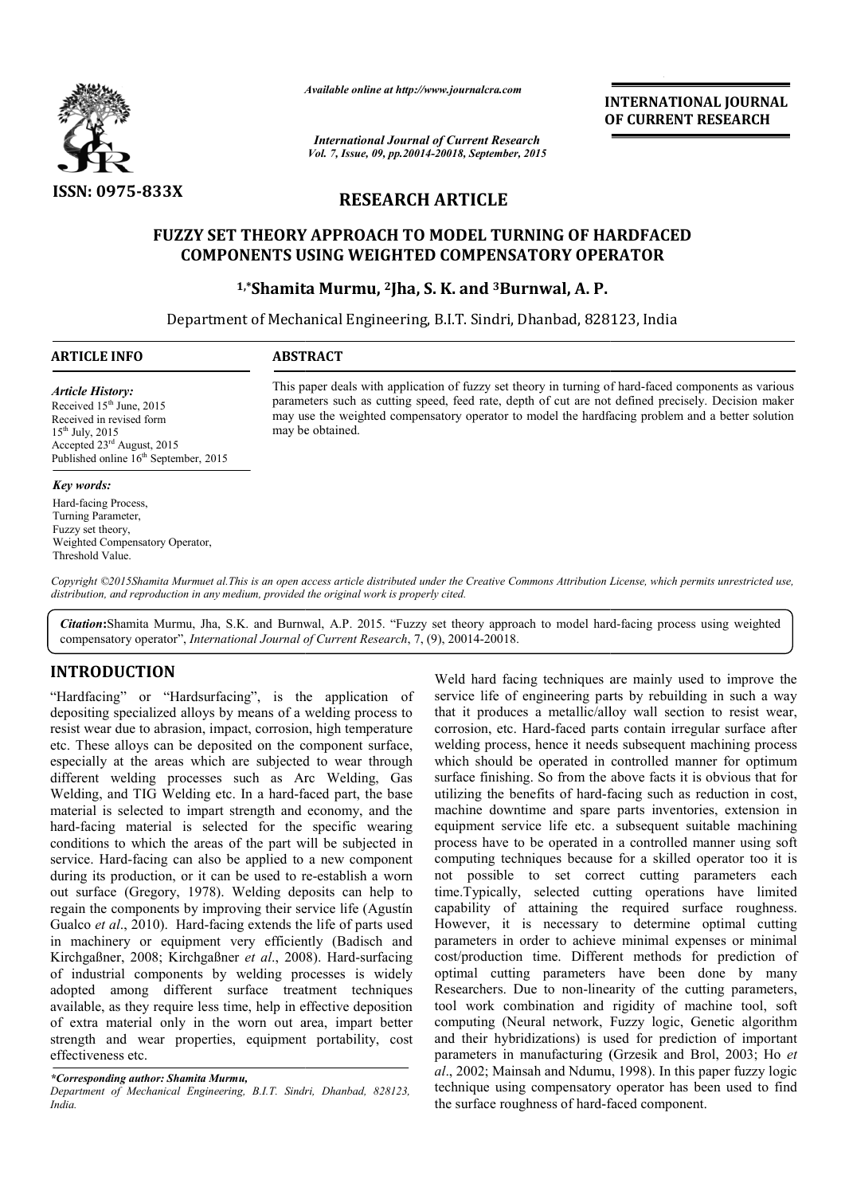

*Available online at http://www.journal http://www.journalcra.com*

*International Journal of Current Research Vol. 7, Issue, 09, pp.20014-20018, September, 2015*

**INTERNATIONAL JOURNAL OF CURRENT RESEARCH** 

# **RESEARCH ARTICLE**

# **FUZZY SET THEORY APPROACH TO MODEL TURNING OF HARDFAC HARDFACED COMPONENTS USING WEIGHTED COMPENSATORY OPERATOR**

# **1,\*Shamita Murmu, Shamita 2Jha, S. K. and 3Burnwal, A. P.**

Department of Mechanical Engineering, B.I.T. Sindri, Dhanbad, 828123, India

#### **ARTICLE INFO ABSTRACT**

# *Article History:*

Received  $15<sup>th</sup>$  June, 2015 Received in revised form  $15^{th}$  July, 2015 Accepted 23<sup>rd</sup> August, 2015 Published online  $16<sup>th</sup>$  September, 2015

#### *Key words:*

Hard-facing Process, Turning Parameter, Fuzzy set theory, Weighted Compensatory Operator, Threshold Value.

This paper deals with application of fuzzy set theory in turning of hard-faced components as various parameters such as cutting speed, feed rate, depth of cut are not defined precisely. Decision maker parameters such as cutting speed, feed rate, depth of cut are not defined precisely. Decision maker<br>may use the weighted compensatory operator to model the hardfacing problem and a better solution may be obtained.

Copyright ©2015Shamita Murmuet al. This is an open access article distributed under the Creative Commons Attribution License, which permits unrestricted use, *distribution, and reproduction in any medium, provided the original work is properly cited.*

Citation: Shamita Murmu, Jha, S.K. and Burnwal, A.P. 2015. "Fuzzy set theory approach to model hard-facing process using weighted compensatory operator", *International Journal of Current Research*, 7, (9), 20014-20018.

# **INTRODUCTION**

"Hardfacing" or "Hardsurfacing", is the application of depositing specialized alloys by means of a welding process to resist wear due to abrasion, impact, corrosion, high temperature etc. These alloys can be deposited on the component surface, especially at the areas which are subjected to wear through different welding processes such as Arc Welding, Gas Welding, and TIG Welding etc. In a hard-faced part, the base material is selected to impart strength and economy, and the hard-facing material is selected for the specific wearing conditions to which the areas of the part will be subjected in service. Hard-facing can also be applied to a new component service. Hard-facing can also be applied to a new component during its production, or it can be used to re-establish a worn out surface (Gregory, 1978). Welding deposits can help to out surface (Gregory, 1978). Welding deposits can help to regain the components by improving their service life (Agustín Gualco *et al*., 2010). Hard-facing extends the life of parts used Gualco et al., 2010). Hard-facing extends the life of parts used<br>in machinery or equipment very efficiently (Badisch and Kirchgaßner, 2008; Kirchgaßner et al., 2008). Hard-surfacing of industrial components by welding processes is widely adopted among different surface treatment techniques available, as they require less time, help in effective deposition of extra material only in the worn out area, impart better strength and wear properties, equipment portability, cost effectiveness etc. ially at the areas which are subjected to wear through<br>ent welding processes such as Arc Welding, Gas<br>ing, and TIG Welding etc. In a hard-faced part, the base<br>rial is selected to impart strength and economy, and the<br>facing

**CALLY THEST THEST THEST THEST THEST Well hard facing techniques are mainly used to improve the outbasing in such a way pecialized alloys by means of a welding process to that it produces a metallicalloly wall section to** Weld hard facing techniques are mainly used to improve the service life of engineering parts by rebuilding in such a way that it produces a metallic/alloy wall section to resist wear, corrosion, etc. Hard-faced parts contain irregular surface after welding process, hence it needs subsequent machining process that it produces a metallic/alloy wall section to resist wear, corrosion, etc. Hard-faced parts contain irregular surface after welding process, hence it needs subsequent machining process which should be operated in contr surface finishing. So from the above facts it is obvious that for utilizing the benefits of hard-facing such as reduction in cost, machine downtime and spare parts inventories, extension in equipment service life etc. a subsequent suitable machining process have to be operated in a controlled manner using soft computing techniques because for a skilled operator too it is not possible to set correct cutting parameters each time.Typically, selected cutting operations have limited capability of attaining the required surface roughness. However, it is necessary to determine optimal cutting parameters in order to achieve minimal expenses or minimal cost/production time. Different methods for prediction of optimal cutting parameters have been done by many Researchers. Due to non-linearity of the cutting parameters, tool work combination and rigidity of machine tool, soft computing (Neural network, Fuzzy logic, Genetic algorithm and their hybridizations) is used for prediction of important parameters in manufacturing (Grzesik and Brol, 2003; Ho et al., 2002; Mainsah and Ndumu, 1998). In this paper fuzzy logic technique using compensatory operator has been used to find the surface roughness of hard-faced component. surface finishing. So from the above facts it is obvious that for utilizing the benefits of hard-facing such as reduction in cost, machine downtime and spare parts inventories, extension in equipment service life etc. a su process have to be operated in a controlled manner using soft<br>computing techniques because for a skilled operator too it is<br>not possible to set correct cutting parameters each<br>time. Typically, selected cutting operations h rs. Due to non-linearity of the cutting parameters,<br>combination and rigidity of machine tool, soft<br>(Neural network, Fuzzy logic, Genetic algorithm<br>hybridizations) is used for prediction of important<br>in manufacturing (Grzes INTERNATIONAL JOURNAL<br>
or CURRENT RESEARCH<br>
or<br>
of CURRENT RESEARCH<br>
or<br>
or<br>
or<br>
or<br>
anabad, 828123, India<br>
or<br>
provin turning of hard-faced components as various<br>
or of cut are not defined precisely. Decision makes<br>
or o

*<sup>\*</sup>Corresponding author: Shamita Murmu,*

*Department of Mechanical Engineering, B.I.T. Sindri, Dhanbad, 828123, India.*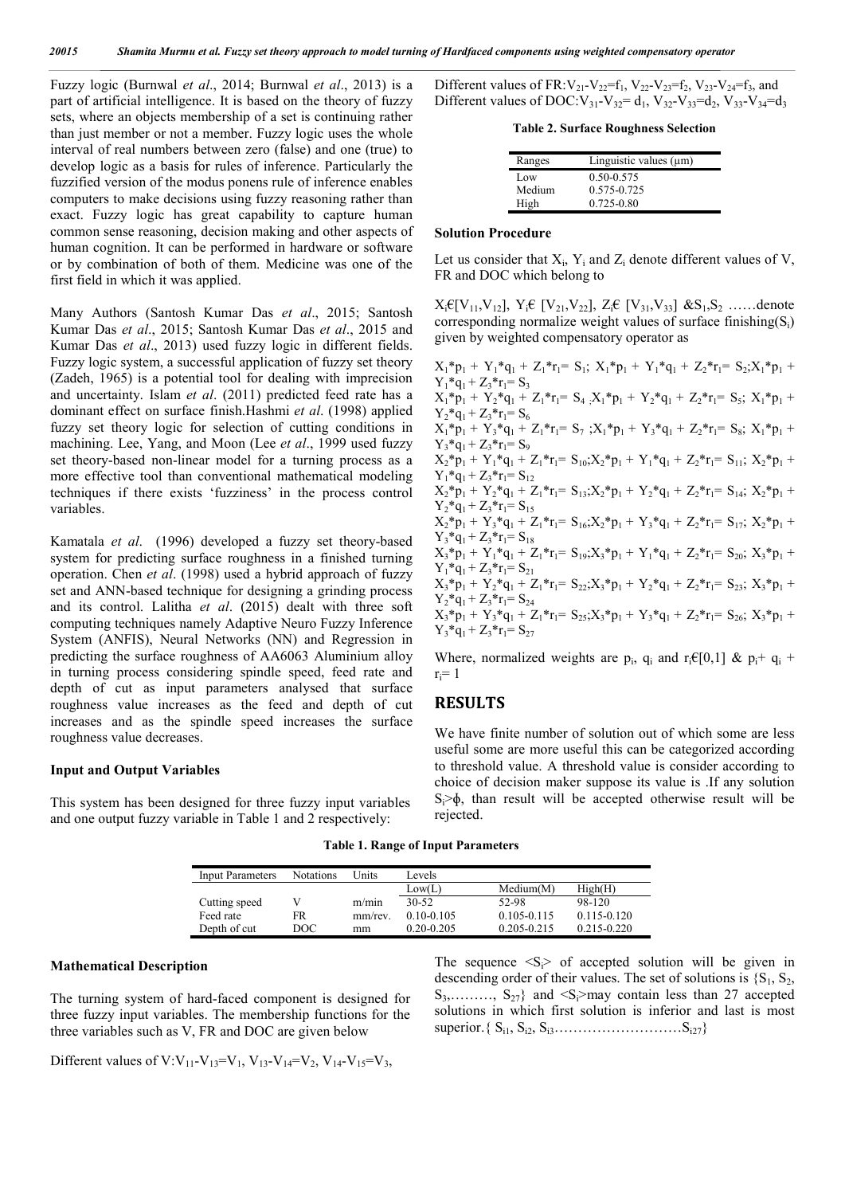Fuzzy logic (Burnwal *et al*., 2014; Burnwal *et al*., 2013) is a part of artificial intelligence. It is based on the theory of fuzzy sets, where an objects membership of a set is continuing rather than just member or not a member. Fuzzy logic uses the whole interval of real numbers between zero (false) and one (true) to develop logic as a basis for rules of inference. Particularly the fuzzified version of the modus ponens rule of inference enables computers to make decisions using fuzzy reasoning rather than exact. Fuzzy logic has great capability to capture human common sense reasoning, decision making and other aspects of human cognition. It can be performed in hardware or software or by combination of both of them. Medicine was one of the first field in which it was applied.

Many Authors (Santosh Kumar Das *et al*., 2015; Santosh Kumar Das *et al*., 2015; Santosh Kumar Das *et al*., 2015 and Kumar Das *et al*., 2013) used fuzzy logic in different fields. Fuzzy logic system, a successful application of fuzzy set theory (Zadeh, 1965) is a potential tool for dealing with imprecision and uncertainty. Islam *et al*. (2011) predicted feed rate has a dominant effect on surface finish.Hashmi *et al*. (1998) applied fuzzy set theory logic for selection of cutting conditions in machining. Lee, Yang, and Moon (Lee *et al*., 1999 used fuzzy set theory-based non-linear model for a turning process as a more effective tool than conventional mathematical modeling techniques if there exists 'fuzziness' in the process control variables.

Kamatala *et al*. (1996) developed a fuzzy set theory-based system for predicting surface roughness in a finished turning operation. Chen *et al*. (1998) used a hybrid approach of fuzzy set and ANN-based technique for designing a grinding process and its control. Lalitha *et al*. (2015) dealt with three soft computing techniques namely Adaptive Neuro Fuzzy Inference System (ANFIS), Neural Networks (NN) and Regression in predicting the surface roughness of AA6063 Aluminium alloy in turning process considering spindle speed, feed rate and depth of cut as input parameters analysed that surface roughness value increases as the feed and depth of cut increases and as the spindle speed increases the surface roughness value decreases.

#### **Input and Output Variables**

This system has been designed for three fuzzy input variables and one output fuzzy variable in Table 1 and 2 respectively:

Different values of FR:  $V_{21}$ - $V_{22}$ = $f_1$ ,  $V_{22}$ - $V_{23}$ = $f_2$ ,  $V_{23}$ - $V_{24}$ = $f_3$ , and Different values of DOC:  $V_{31}$ - $V_{32}$ = $d_1$ ,  $V_{32}$ - $V_{33}$ = $d_2$ ,  $V_{33}$ - $V_{34}$ = $d_3$ 

**Table 2. Surface Roughness Selection**

| Linguistic values $(\mu m)$ |
|-----------------------------|
| 0.50-0.575                  |
| 0.575-0.725                 |
| $0.725 - 0.80$              |
|                             |

#### **Solution Procedure**

Let us consider that  $X_i$ ,  $Y_i$  and  $Z_i$  denote different values of V, FR and DOC which belong to

 $X_i \in [V_{11}, V_{12}], Y_i \in [V_{21}, V_{22}], Z_i \in [V_{31}, V_{33}]$  & $S_1, S_2$  ......denote corresponding normalize weight values of surface finishing $(S_i)$ given by weighted compensatory operator as

 $X_1^*p_1 + Y_1^*q_1 + Z_1^*r_1 = S_1$ ;  $X_1^*p_1 + Y_1^*q_1 + Z_2^*r_1 = S_2$ ;  $X_1^*p_1 +$  $Y_1^*q_1 + Z_3^*r_1 = S_3$  $X_1^*$ <sup>\*</sup>p<sub>1</sub> + Y<sub>2</sub>\*q<sub>1</sub> + Z<sub>1</sub>\*r<sub>1</sub>= S<sub>4</sub>  $X_1$ \*p<sub>1</sub> + Y<sub>2</sub>\*q<sub>1</sub> + Z<sub>2</sub>\*r<sub>1</sub>= S<sub>5</sub>; X<sub>1</sub>\*p<sub>1</sub> +  $Y_2^*q_1 + Z_3^*r_1 = S_6$  $X_1^*p_1 + Y_3^*q_1 + Z_1^*r_1 = S_7$ ;  $X_1^*p_1 + Y_3^*q_1 + Z_2^*r_1 = S_8$ ;  $X_1^*p_1 +$  $Y_3^*q_1 + Z_3^*r_1 = S_9$  $X_2^*p_1 + Y_1^*q_1 + Z_1^*r_1 = S_{10}X_2^*p_1 + Y_1^*q_1 + Z_2^*r_1 = S_{11}X_2^*p_1 +$  $Y_1^*q_1 + Z_3^*r_1 = S_{12}$  $X_2^*p_1 + Y_2^*q_1 + Z_1^*r_1 = S_{13}X_2^*p_1 + Y_2^*q_1 + Z_2^*r_1 = S_{14}Y_2^*p_1 +$  $Y_2^*q_1 + Z_3^*r_1 = S_{15}$  $X_2^* \bar{p}_1 + Y_3^* q_1 + Z_1^* r_1 = S_{16} X_2^* p_1 + Y_3^* q_1 + Z_2^* r_1 = S_{17}$ ;  $X_2^* p_1 +$  $Y_3^*q_1 + Z_3^*r_1 = S_{18}$  $X_3^*p_1 + Y_1^*q_1 + Z_1^*r_1 = S_{19} ; X_3^*p_1 + Y_1^*q_1 + Z_2^*r_1 = S_{20} ; X_3^*p_1 +$  $Y_1^*q_1 + Z_3^*r_1 = S_{21}$  $X_3^*p_1 + Y_2^*q_1 + Z_1^*r_1 = S_{22} ; X_3^*p_1 + Y_2^*q_1 + Z_2^*r_1 = S_{23} ; X_3^*p_1 +$  $Y_2^*q_1 + Z_3^*r_1 = S_{24}$  $X_3^*p_1 + Y_3^*q_1 + Z_1^*r_1 = S_{25}X_3^*p_1 + Y_3^*q_1 + Z_2^*r_1 = S_{26}X_3^*p_1 +$  $Y_3^*q_1 + Z_3^*r_1 = S_{27}$ 

Where, normalized weights are p<sub>i</sub>, q<sub>i</sub> and r<sub>i</sub>€[0,1] & p<sub>i</sub>+ q<sub>i</sub> +  $r_i = 1$ 

### **RESULTS**

We have finite number of solution out of which some are less useful some are more useful this can be categorized according to threshold value. A threshold value is consider according to choice of decision maker suppose its value is .If any solution  $S_i \geq \phi$ , than result will be accepted otherwise result will be rejected.

**Table 1. Range of Input Parameters**

| <b>Input Parameters</b> | <b>Notations</b> | Units  | Levels         |                 |                 |
|-------------------------|------------------|--------|----------------|-----------------|-----------------|
|                         |                  |        | Low(L)         | Median(M)       | High(H)         |
| Cutting speed           |                  | m/min  | $30-52$        | 52-98           | 98-120          |
| Feed rate               | FR               | mm/rev | $0.10 - 0.105$ | $0.105 - 0.115$ | $0.115 - 0.120$ |
| Depth of cut            | DOC              | mm     | $0.20 - 0.205$ | $0.205 - 0.215$ | $0.215 - 0.220$ |

#### **Mathematical Description**

The turning system of hard-faced component is designed for three fuzzy input variables. The membership functions for the three variables such as V, FR and DOC are given below

The sequence  $\langle S_i \rangle$  of accepted solution will be given in descending order of their values. The set of solutions is  ${S_1, S_2, S_3}$  $S_3$ ,  $S_{27}$  and  $S_5$  may contain less than 27 accepted solutions in which first solution is inferior and last is most superior.{ Si1, Si2, Si3………………………Si27}

Different values of V:V<sub>11</sub>-V<sub>13</sub>=V<sub>1</sub>, V<sub>13</sub>-V<sub>14</sub>=V<sub>2</sub>, V<sub>14</sub>-V<sub>15</sub>=V<sub>3</sub>,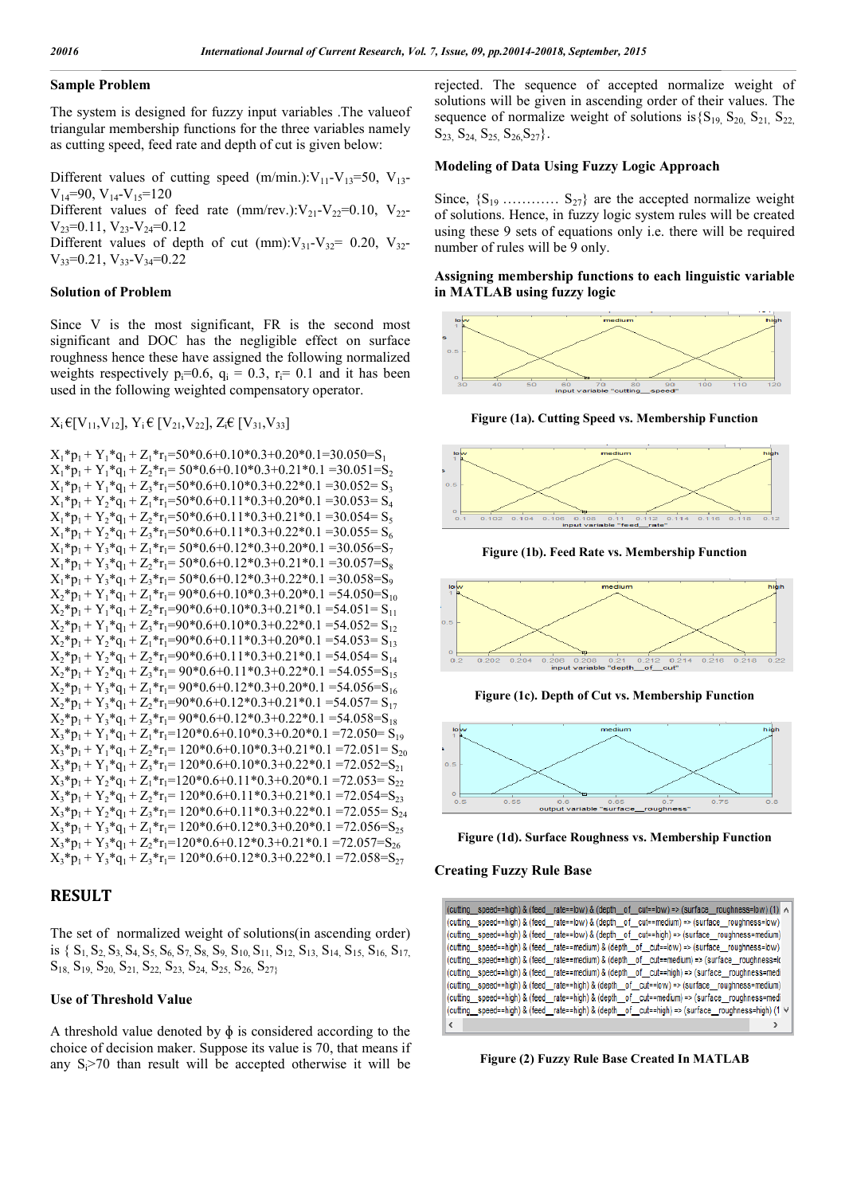#### **Sample Problem**

The system is designed for fuzzy input variables .The valueof triangular membership functions for the three variables namely as cutting speed, feed rate and depth of cut is given below:

Different values of cutting speed  $(m/min.)$ : $V_{11}$ - $V_{13}$ =50,  $V_{13}$ - $V_{14}=90$ ,  $V_{14}-V_{15}=120$ 

Different values of feed rate (mm/rev.): $V_{21}-V_{22}=0.10$ ,  $V_{22}$ - $V_{23}=0.11$ ,  $V_{23}-V_{24}=0.12$ 

Different values of depth of cut  $(mm):V_{31}-V_{32}= 0.20, V_{32} V_{33}=0.21$ ,  $V_{33}-V_{34}=0.22$ 

## **Solution of Problem**

Since V is the most significant, FR is the second most significant and DOC has the negligible effect on surface roughness hence these have assigned the following normalized weights respectively  $p_i=0.6$ ,  $q_i = 0.3$ ,  $r_i= 0.1$  and it has been used in the following weighted compensatory operator.

 $X_i \in [V_{11}, V_{12}], Y_i \in [V_{21}, V_{22}], Z_i \in [V_{31}, V_{33}]$ 

 $X_1 * p_1 + Y_1 * q_1 + Z_1 * r_1 = 50 * 0.6 + 0.10 * 0.3 + 0.20 * 0.1 = 30.050 = S_1$  $X_1^*p_1 + Y_1^*q_1 + Z_2^*r_1 = 50^*0.6 + 0.10^*0.3 + 0.21^*0.1 = 30.051 = S_2$  $X_1^*p_1 + Y_1^*q_1 + Z_3^*r_1 = 50^*0.6 + 0.10^*0.3 + 0.22^*0.1 = 30.052 = S_3$  $X_1^*p_1 + Y_2^*q_1 + Z_1^*r_1 = 50*0.6+0.11*0.3+0.20*0.1 = 30.053 = S_4$  $X_1^*p_1 + Y_2^*q_1 + Z_2^*r_1 = 50*0.6+0.11*0.3+0.21*0.1 = 30.054 = S_5$  $X_1^*p_1 + Y_2^*q_1 + Z_3^*r_1 = 50^*0.6 + 0.11^*0.3 + 0.22^*0.1 = 30.055 = S_6$  $X_1^*p_1 + Y_3^*q_1 + Z_1^*r_1 = 50^*0.6 + 0.12^*0.3 + 0.20^*0.1 = 30.056 = S_7$  $X_1^*p_1 + Y_3^*q_1 + Z_2^*r_1 = 50^*0.6 + 0.12^*0.3 + 0.21^*0.1 = 30.057 = S_8$  $X_1^*p_1 + Y_3^*q_1 + Z_3^*r_1 = 50^*0.6 + 0.12^*0.3 + 0.22^*0.1 = 30.058 = S_9$  $X_2^*p_1 + Y_1^*q_1 + Z_1^*r_1 = 90^*0.6 + 0.10^*0.3 + 0.20^*0.1 = 54.050 = S_{10}$  $X_2^*p_1 + Y_1^*q_1 + Z_2^*r_1 = 90^*0.6 + 0.10^*0.3 + 0.21^*0.1 = 54.051 = S_{11}$  $X_2^*p_1 + Y_1^*q_1 + Z_3^*r_1 = 90^*0.6 + 0.10^*0.3 + 0.22^*0.1 = 54.052 = S_{12}$  $X_2^*p_1 + Y_2^*q_1 + Z_1^*r_1 = 90^*0.6 + 0.11^*0.3 + 0.20^*0.1 = 54.053 = S_{13}$  $X_2^*p_1 + Y_2^*q_1 + Z_2^*r_1 = 90^*0.6 + 0.11^*0.3 + 0.21^*0.1 = 54.054 = S_{14}$  $X_2^*p_1 + Y_2^*q_1 + Z_3^*r_1 = 90^*0.6 + 0.11^*0.3 + 0.22^*0.1 = 54.055 = S_{15}$  $X_2^*p_1 + Y_3^*q_1 + Z_1^*r_1 = 90^*0.6 + 0.12^*0.3 + 0.20^*0.1 = 54.056 = S_{16}$  $X_2^*p_1 + Y_3^*q_1 + Z_2^*r_1 = 90^*0.6 + 0.12^*0.3 + 0.21^*0.1 = 54.057 = S_{17}$  $X_2^*p_1 + Y_3^*q_1 + Z_3^*r_1 = 90^*0.6 + 0.12^*0.3 + 0.22^*0.1 = 54.058 = S_{18}$  $X_3^*p_1 + Y_1^*q_1 + Z_1^*r_1 = 120^*0.6 + 0.10^*0.3 + 0.20^*0.1 = 72.050 = S_{19}$  $X_3$ \* $p_1$  +  $Y_1$ \* $q_1$  +  $Z_2$ \* $r_1$  = 120\*0.6+0.10\*0.3+0.21\*0.1 =72.051 =  $S_{20}$  $X_3^*p_1 + Y_1^*q_1 + Z_3^*r_1 = 120^*0.6 + 0.10^*0.3 + 0.22^*0.1 = 72.052 = S_{21}$  $X_3$ \* $p_1$  +  $Y_2$ \* $q_1$  +  $Z_1$ \* $r_1$ =120\*0.6+0.11\*0.3+0.20\*0.1 =72.053= $S_{22}$  $X_3$ <sup>\*</sup> $p_1$  +  $Y_2$ <sup>\*</sup> $q_1$  +  $Z_2$ <sup>\*</sup> $r_1$  = 120<sup>\*</sup>0.6+0.11<sup>\*</sup>0.3+0.21<sup>\*</sup>0.1 =72.054= $S_{23}$  $X_3$ <sup>\*</sup> $p_1$  +  $Y_2$ <sup>\*</sup> $q_1$  +  $Z_3$ <sup>\*</sup> $r_1$  = 120<sup>\*</sup>0.6+0.11<sup>\*</sup>0.3+0.22<sup>\*</sup>0.1 =72.055 =  $S_{24}$  $X_3$ <sup>\*</sup> $p_1$  +  $Y_3$ <sup>\*</sup> $q_1$  +  $Z_1$ <sup>\*</sup> $r_1$  = 120<sup>\*</sup>0.6+0.12<sup>\*</sup>0.3+0.20<sup>\*</sup>0.1 =72.056= $S_{25}$  $X_3^*p_1 + Y_3^*q_1 + Z_2^*r_1 = 120^*0.6 + 0.12^*0.3 + 0.21^*0.1 = 72.057 = S_{26}$  $X_3*p_1+Y_3*q_1+Z_3*r_1=120*0.6+0.12*0.3+0.22*0.1=72.058=S_{27}$ 

# **RESULT**

The set of normalized weight of solutions(in ascending order) is {  $S_1$ ,  $S_2$ ,  $S_3$ ,  $S_4$ ,  $S_5$ ,  $S_6$ ,  $S_7$ ,  $S_8$ ,  $S_9$ ,  $S_{10}$ ,  $S_{11}$ ,  $S_{12}$ ,  $S_{13}$ ,  $S_{14}$ ,  $S_{15}$ ,  $S_{16}$ ,  $S_{17}$  $S_{18}$ ,  $S_{19}$ ,  $S_{20}$ ,  $S_{21}$ ,  $S_{22}$ ,  $S_{23}$ ,  $S_{24}$ ,  $S_{25}$ ,  $S_{26}$ ,  $S_{27}$ 

#### **Use of Threshold Value**

A threshold value denoted by  $\phi$  is considered according to the choice of decision maker. Suppose its value is 70, that means if any  $S_i$  >70 than result will be accepted otherwise it will be

rejected. The sequence of accepted normalize weight of solutions will be given in ascending order of their values. The sequence of normalize weight of solutions is  $\{S_{19}, S_{20}, S_{21}, S_{22}\}$  $S_{23}$ ,  $S_{24}$ ,  $S_{25}$ ,  $S_{26}$ ,  $S_{27}$ .

#### **Modeling of Data Using Fuzzy Logic Approach**

Since,  $\{S_{19}$  …………  $S_{27}\}$  are the accepted normalize weight of solutions. Hence, in fuzzy logic system rules will be created using these 9 sets of equations only i.e. there will be required number of rules will be 9 only.

#### **Assigning membership functions to each linguistic variable in MATLAB using fuzzy logic**



**Figure (1a). Cutting Speed vs. Membership Function**



**Figure (1b). Feed Rate vs. Membership Function**



**Figure (1c). Depth of Cut vs. Membership Function**





#### **Creating Fuzzy Rule Base**

| (cutting speed==high) & (feed rate==low) & (depth of cut==low) => (surface roughness=low) (1) $\land$ |  |
|-------------------------------------------------------------------------------------------------------|--|
| (cutting speed==high) & (feed rate==low) & (depth of cut==medium) => (surface roughness=low)          |  |
| (cutting speed==high) & (feed rate==low) & (depth of cut==high) => (surface roughness=medium)         |  |
| (cutting speed==high) & (feed rate==medium) & (depth of cut==low) => (surface roughness=low)          |  |
| (cutting speed==high) & (feed rate==medium) & (depth of cut==medium) => (surface roughness=lo         |  |
| (cutting speed==high) & (feed_rate==medium) & (depth_of_cut==high) => (surface_roughness=medi         |  |
| (cutting speed==high) & (feed rate==high) & (depth of cut==low) => (surface roughness=medium)         |  |
| (cutting_speed==high) & (feed_rate==high) & (depth_of_cut==medium) => (surface_roughness=medi         |  |
| (cutting speed==high) & (feed rate==high) & (depth of cut==high) => (surface roughness=high) (1 ∨     |  |
| k                                                                                                     |  |

**Figure (2) Fuzzy Rule Base Created In MATLAB**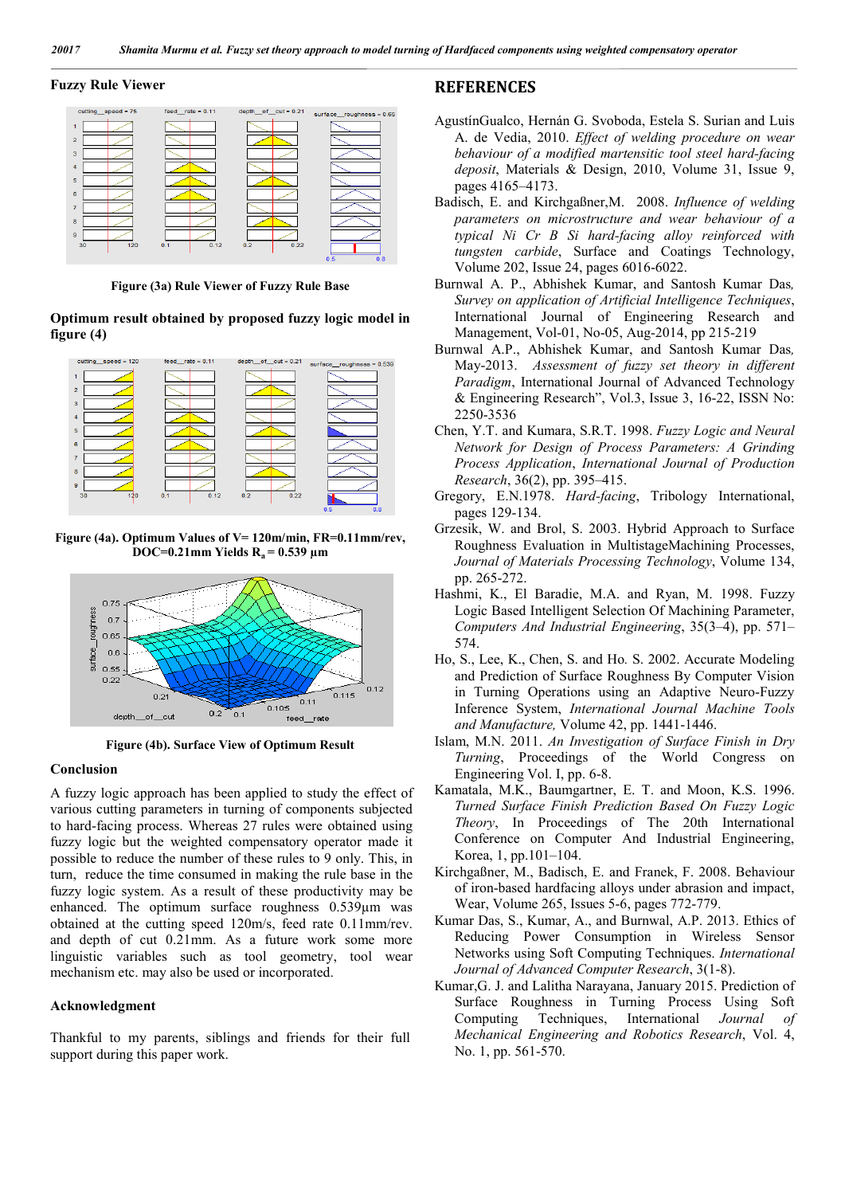#### **Fuzzy Rule Viewer**



**Figure (3a) Rule Viewer of Fuzzy Rule Base**

**Optimum result obtained by proposed fuzzy logic model in figure (4)**



**Figure (4a). Optimum Values of V= 120m/min, FR=0.11mm/rev, DOC=0.21mm Yields R<sub>a</sub> = 0.539 µm** 



**Figure (4b). Surface View of Optimum Result**

### **Conclusion**

A fuzzy logic approach has been applied to study the effect of various cutting parameters in turning of components subjected to hard-facing process. Whereas 27 rules were obtained using fuzzy logic but the weighted compensatory operator made it possible to reduce the number of these rules to 9 only. This, in turn, reduce the time consumed in making the rule base in the fuzzy logic system. As a result of these productivity may be enhanced. The optimum surface roughness 0.539µm was obtained at the cutting speed 120m/s, feed rate 0.11mm/rev. and depth of cut 0.21mm. As a future work some more linguistic variables such as tool geometry, tool wear mechanism etc. may also be used or incorporated.

#### **Acknowledgment**

Thankful to my parents, siblings and friends for their full support during this paper work.

# **REFERENCES**

- AgustínGualco, Hernán G. Svoboda, Estela S. Surian and Luis A. de Vedia, 2010. *Effect of welding procedure on wear behaviour of a modified martensitic tool steel hard-facing deposit*, Materials & Design, 2010, Volume 31, Issue 9, pages 4165–4173.
- Badisch, E. and Kirchgaßner,M. 2008. *Influence of welding parameters on microstructure and wear behaviour of a typical Ni Cr B Si hard-facing alloy reinforced with tungsten carbide*, Surface and Coatings Technology, Volume 202, Issue 24, pages 6016-6022.
- Burnwal A. P., Abhishek Kumar, and Santosh Kumar Das*, Survey on application of Artificial Intelligence Techniques*, International Journal of Engineering Research and Management, Vol-01, No-05, Aug-2014, pp 215-219
- Burnwal A.P., Abhishek Kumar, and Santosh Kumar Das*,* May-2013. *Assessment of fuzzy set theory in different Paradigm*, International Journal of Advanced Technology & Engineering Research", Vol.3, Issue 3, 16-22, ISSN No: 2250-3536
- Chen, Y.T. and Kumara, S.R.T. 1998. *Fuzzy Logic and Neural Network for Design of Process Parameters: A Grinding Process Application*, *International Journal of Production Research*, 36(2), pp. 395–415.
- Gregory, E.N.1978. *Hard-facing*, Tribology International, pages 129-134.
- Grzesik, W. and Brol, S. 2003. Hybrid Approach to Surface Roughness Evaluation in MultistageMachining Processes, *Journal of Materials Processing Technology*, Volume 134, pp. 265-272.
- Hashmi, K., El Baradie, M.A. and Ryan, M. 1998. Fuzzy Logic Based Intelligent Selection Of Machining Parameter, *Computers And Industrial Engineering*, 35(3–4), pp. 571– 574.
- Ho, S., Lee, K., Chen, S. and Ho*.* S. 2002. Accurate Modeling and Prediction of Surface Roughness By Computer Vision in Turning Operations using an Adaptive Neuro-Fuzzy Inference System, *International Journal Machine Tools and Manufacture,* Volume 42, pp. 1441-1446.
- Islam, M.N. 2011. *An Investigation of Surface Finish in Dry Turning*, Proceedings of the World Congress on Engineering Vol. I, pp. 6-8.
- Kamatala, M.K., Baumgartner, E. T. and Moon, K.S. 1996. *Turned Surface Finish Prediction Based On Fuzzy Logic Theory*, In Proceedings of The 20th International Conference on Computer And Industrial Engineering, Korea, 1, pp.101–104.
- Kirchgaßner, M., Badisch, E. and Franek, F. 2008. Behaviour of iron-based hardfacing alloys under abrasion and impact, Wear, Volume 265, Issues 5-6, pages 772-779.
- Kumar Das, S., Kumar, A., and Burnwal, A.P. 2013. Ethics of Reducing Power Consumption in Wireless Sensor Networks using Soft Computing Techniques. *International Journal of Advanced Computer Research*, 3(1-8).
- Kumar,G. J. and Lalitha Narayana, January 2015. Prediction of Surface Roughness in Turning Process Using Soft Computing Techniques, International *Journal of Mechanical Engineering and Robotics Research*, Vol. 4, No. 1, pp. 561-570.